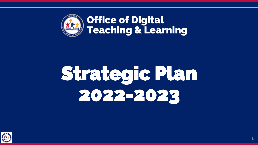

# Strategic Plan 2022-2023

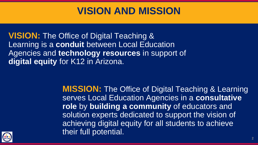### **VISION AND MISSION**

**VISION:** The Office of Digital Teaching & Learning is a **conduit** between Local Education Agencies and **technology resources** in support of **digital equity** for K12 in Arizona.

> **MISSION:** The Office of Digital Teaching & Learning serves Local Education Agencies in a **consultative role** by **building a community** of educators and solution experts dedicated to support the vision of achieving digital equity for all students to achieve their full potential.

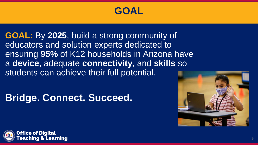### **GOAL**

**GOAL:** By **2025**, build a strong community of educators and solution experts dedicated to ensuring **95%** of K12 households in Arizona have a **device**, adequate **connectivity**, and **skills** so students can achieve their full potential.

### **Bridge. Connect. Succeed.**



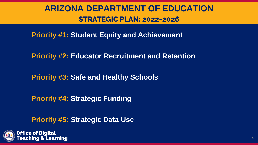### **ARIZONA DEPARTMENT OF EDUCATION STRATEGIC PLAN: 2022-2026**

**Priority #1: Student Equity and Achievement**

**Priority #2: Educator Recruitment and Retention**

**Priority #3: Safe and Healthy Schools**

**Priority #4: Strategic Funding**

**Priority #5: Strategic Data Use**



**Office of Diaital** iing & Learning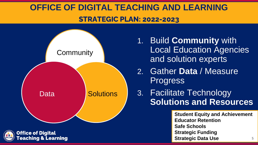### **OFFICE OF DIGITAL TEACHING AND LEARNING STRATEGIC PLAN: 2022-2023**





- 1. Build **Community** with Local Education Agencies and solution experts
- 2. Gather **Data** / Measure Progress
- 3. Facilitate Technology **Solutions and Resources**

**Student Equity and Achievement Educator Retention Safe Schools Strategic Funding Strategic Data Use 5**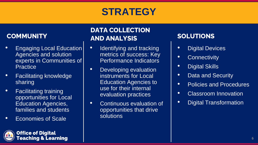### **STRATEGY**

#### **COMMUNITY**

- **Engaging Local Education** Agencies and solution experts in Communities of **Practice**
- Facilitating knowledge sharing
- Facilitating training opportunities for Local Education Agencies, families and students
- Economies of Scale

**Office of Digital<br>Teaching & Learning** 

### **DATA COLLECTION AND ANALYSIS**

- Identifying and tracking metrics of success: Key Performance Indicators
- Developing evaluation instruments for Local Education Agencies to use for their internal evaluation practices
- Continuous evaluation of opportunities that drive solutions

#### **SOLUTIONS**

- Digital Devices
- Connectivity
- Digital Skills
- Data and Security
- Policies and Procedures
- Classroom Innovation
- Digital Transformation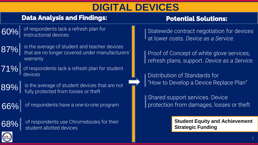### **DIGITAL DEVICES**

#### **Data Analysis and Findings:**

 $\left[ 60\% \right]$  of respondents lack a refresh plan for<br> $\left[ 60\% \right]$  instructional devices



 $\left\{ 87\% \right\}$  is the average of student and teacher devices<br> $\left\{ 87\% \right\}$  that are no longer covered under manufacturers' warranty



 $71\%$  of respondents lack a refresh plan for student devices

 $\left\lceil \frac{89}{6} \right\rceil$  is the average of student devices that are not fully protected from losses or theft

 $66\%$  of respondents have a one-to-one program



of respondents use Chromebooks for their student allotted devices

#### **Potential Solutions:**

Statewide contract negotiation for devices at lower costs. *Device as a Service.*

Proof of Concept of white glove services, refresh plans, support. *Device as a Service.*

Distribution of Standards for "How to Develop a Device Replace Plan"

Shared support services. Device protection from damages, losses or theft

> **Student Equity and Achievement Strategic Funding**

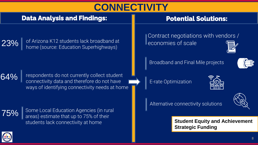### **CONNECTIVITY**

#### **Data Analysis and Findings:**

#### **Potential Solutions:**

 $23\%$   $\mid$  of Arizona K12 students lack broadband at home (source: Education Superhighways)

 $64\%$   $\parallel$  respondents do not currently collect student<br>connectivity data and therefore do not have ways of identifying connectivity needs at home



Some Local Education Agencies (in rural areas) estimate that up to 75% of their students lack connectivity at home

Contract negotiations with vendors / economies of scale

Broadband and Final Mile projects



E-rate Optimization

| ī<br>$\mathcal{L}(\mathcal{L})$ |  |
|---------------------------------|--|

Alternative connectivity solutions



**Student Equity and Achievement Strategic Funding**

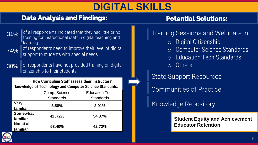### **DIGITAL SKILLS**

#### **Data Analysis and Findings:**

#### **Potential Solutions:**

- 31% of all respondents indicated that they had little or no training for instructional staff in digital teaching and learning.
- $74\%$  of respondents need to improve their level of digital support to students with special needs

30% of respondents have not provided training on digital citizenship to their students

**How Curriculum Staff assess their Instructors' knowledge of Technology and Computer Science Standards:** 

|                 | Comp. Science    | <b>Education Tech</b> |  |
|-----------------|------------------|-----------------------|--|
|                 | <b>Standards</b> | <b>Standards</b>      |  |
| <b>Very</b>     | 3.88%            | 2.91%                 |  |
| familiar        |                  |                       |  |
| <b>Somewhat</b> | 42.72%           | 54.37%                |  |
| familiar        |                  |                       |  |
| Not at all      | 53.40%           | 42.72%                |  |
| familiar        |                  |                       |  |

#### Training Sessions and Webinars in:

- o Digital Citizenship
- o Computer Science Standards
- o Education Tech Standards
- o Others
- State Support Resources

Communities of Practice

Knowledge Repository

**Student Equity and Achievement Educator Retention**

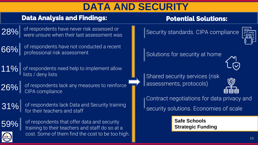### **DATA AND SECURITY**

#### **Data Analysis and Findings:**

 $\left\lceil 28\% \right\rceil$  of respondents have never risk assessed or were unsure when their last assessment was



 $\left\lceil \frac{1}{66}\right\rceil$  of respondents have not conducted a recent professional risk assessment

11% of respondents need help to implement allow lists / deny lists

 $26\%$  of respondents lack any measures to reinforce<br>CIPA compliance

 $31\%$  of respondents lack Data and Security training for their teachers and staff



 $\begin{bmatrix} 59\% \\ \end{bmatrix}$  of respondents that offer data and security training to their teachers and staff do so at a cost. Some of them find the cost to be too high.

#### **Potential Solutions:**

Security standards. CIPA compliance



Solutions for security at home



Shared security services (risk assessments, protocols)



Contract negotiations for data privacy and

security solutions. Economies of scale

**Safe Schools Strategic Funding**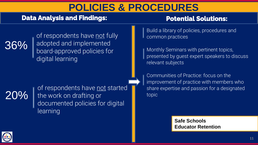### **POLICIES & PROCEDURES**

#### **Data Analysis and Findings:**

#### **Potential Solutions:**



of respondents have not fully adopted and implemented board-approved policies for digital learning

## 20%

of respondents have not started I the work on drafting or documented policies for digital learning

Build a library of policies, procedures and common practices

Monthly Seminars with pertinent topics, presented by guest expert speakers to discuss relevant subjects

Communities of Practice: focus on the improvement of practice with members who share expertise and passion for a designated topic

> **Safe Schools Educator Retention**

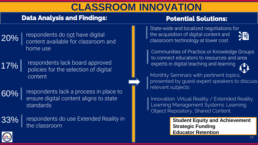### **CLASSROOM INNOVATION**

#### **Data Analysis and Findings:**

#### **Potential Solutions:**

 $20\%$   $\left| \right.$  respondents do not have digital content available for classroom and home use

17% respondents lack board approved policies for the selection of digital content

60% respondents lack a process in place to ensure digital content aligns to state standards

33% | respondents do use Extended Reality in the classroom

State-wide and localized negotiations for the acquisition of digital content and 涓 classroom technology at lower cost

Communities of Practice or Knowledge Groups to connect educators to resources and area experts in digital teaching and learning

Monthly Seminars with pertinent topics, presented by guest expert speakers to discuss relevant subjects

Innovation: Virtual Reality / Extended Reality, Learning Management Systems. Learning Object Repository, Shared Content.

> **Student Equity and Achievement Strategic Funding Educator Retention**

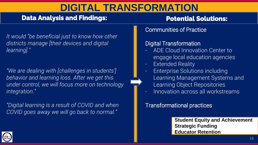### **DIGITAL TRANSFORMATION**

#### **Data Analysis and Findings:**

**Potential Solutions:**

*It would "be beneficial just to know how other districts manage [their devices and digital learning]."*

*"We are dealing with [challenges in students'] behavior and learning loss. After we get this under control, we will focus more on technology integration."*

*"Digital learning is a result of COVID and when COVID goes away we will go back to normal."*

Communities of Practice

#### Digital Transformation

- ADE Cloud Innovation Center to engage local education agencies
- **Extended Reality**
- Enterprise Solutions including Learning Management Systems and Learning Object Repositories
	- Innovation across all workstreams

#### Transformational practices

**Student Equity and Achievement Strategic Funding Educator Retention**